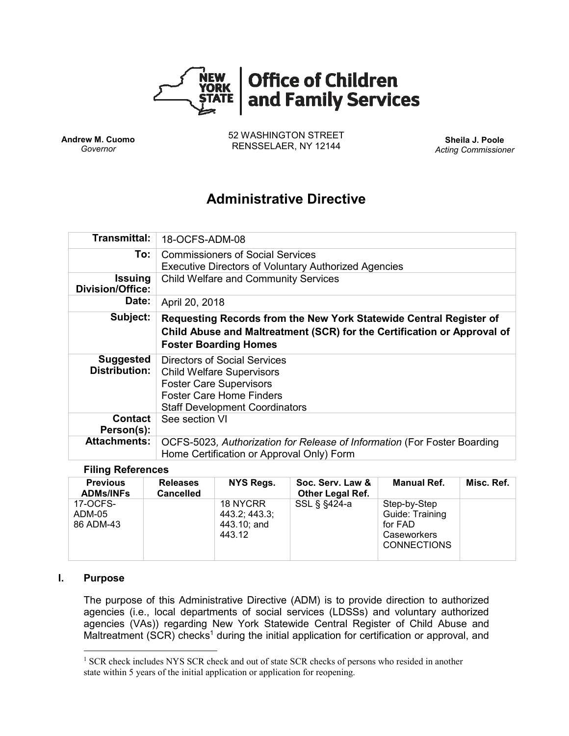

**Andrew M. Cuomo** *Governor*

52 WASHINGTON STREET RENSSELAER, NY 12144 **Sheila J. Poole**

*Acting Commissioner*

# **Administrative Directive**

| <b>Transmittal:</b>                       | 18-OCFS-ADM-08                                                                                                                                                                 |  |  |  |  |
|-------------------------------------------|--------------------------------------------------------------------------------------------------------------------------------------------------------------------------------|--|--|--|--|
| To:                                       | <b>Commissioners of Social Services</b><br><b>Executive Directors of Voluntary Authorized Agencies</b>                                                                         |  |  |  |  |
| <b>Issuing</b><br><b>Division/Office:</b> | <b>Child Welfare and Community Services</b>                                                                                                                                    |  |  |  |  |
| Date:                                     | April 20, 2018                                                                                                                                                                 |  |  |  |  |
| Subject:                                  | Requesting Records from the New York Statewide Central Register of<br>Child Abuse and Maltreatment (SCR) for the Certification or Approval of<br><b>Foster Boarding Homes</b>  |  |  |  |  |
| <b>Suggested</b><br><b>Distribution:</b>  | Directors of Social Services<br><b>Child Welfare Supervisors</b><br><b>Foster Care Supervisors</b><br><b>Foster Care Home Finders</b><br><b>Staff Development Coordinators</b> |  |  |  |  |
| Contact<br>Person(s):                     | See section VI                                                                                                                                                                 |  |  |  |  |
| <b>Attachments:</b>                       | OCFS-5023, Authorization for Release of Information (For Foster Boarding<br>Home Certification or Approval Only) Form                                                          |  |  |  |  |

#### **Filing References**

| <b>Previous</b><br><b>ADMs/INFs</b> | <b>Releases</b><br><b>Cancelled</b> | NYS Regs.                                          | Soc. Serv. Law &<br><b>Other Legal Ref.</b> | <b>Manual Ref.</b>                                                              | Misc. Ref. |
|-------------------------------------|-------------------------------------|----------------------------------------------------|---------------------------------------------|---------------------------------------------------------------------------------|------------|
| 17-OCFS-<br>ADM-05<br>86 ADM-43     |                                     | 18 NYCRR<br>443.2; 443.3;<br>443.10; and<br>443.12 | SSL § §424-a                                | Step-by-Step<br>Guide: Training<br>for FAD<br>Caseworkers<br><b>CONNECTIONS</b> |            |

#### **I. Purpose**

 $\overline{a}$ 

The purpose of this Administrative Directive (ADM) is to provide direction to authorized agencies (i.e., local departments of social services (LDSSs) and voluntary authorized agencies (VAs)) regarding New York Statewide Central Register of Child Abuse and Maltreatment  $(SCR)$  checks<sup>1</sup> during the initial application for certification or approval, and

<sup>&</sup>lt;sup>1</sup> SCR check includes NYS SCR check and out of state SCR checks of persons who resided in another state within 5 years of the initial application or application for reopening.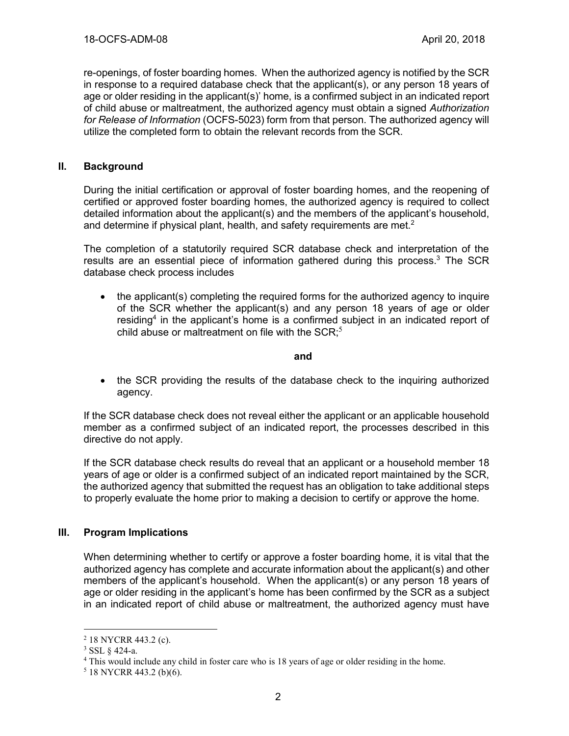re-openings, of foster boarding homes. When the authorized agency is notified by the SCR in response to a required database check that the applicant(s), or any person 18 years of age or older residing in the applicant(s)' home, is a confirmed subject in an indicated report of child abuse or maltreatment, the authorized agency must obtain a signed *Authorization for Release of Information* (OCFS-5023) form from that person. The authorized agency will utilize the completed form to obtain the relevant records from the SCR.

#### **II. Background**

During the initial certification or approval of foster boarding homes, and the reopening of certified or approved foster boarding homes, the authorized agency is required to collect detailed information about the applicant(s) and the members of the applicant's household, and determine if physical plant, health, and safety requirements are met.<sup>2</sup>

The completion of a statutorily required SCR database check and interpretation of the results are an essential piece of information gathered during this process.<sup>3</sup> The SCR database check process includes

• the applicant(s) completing the required forms for the authorized agency to inquire of the SCR whether the applicant(s) and any person 18 years of age or older residing<sup>4</sup> in the applicant's home is a confirmed subject in an indicated report of child abuse or maltreatment on file with the SCR; $5$ 

#### **and**

• the SCR providing the results of the database check to the inquiring authorized agency.

If the SCR database check does not reveal either the applicant or an applicable household member as a confirmed subject of an indicated report, the processes described in this directive do not apply.

If the SCR database check results do reveal that an applicant or a household member 18 years of age or older is a confirmed subject of an indicated report maintained by the SCR, the authorized agency that submitted the request has an obligation to take additional steps to properly evaluate the home prior to making a decision to certify or approve the home.

#### **III. Program Implications**

When determining whether to certify or approve a foster boarding home, it is vital that the authorized agency has complete and accurate information about the applicant(s) and other members of the applicant's household. When the applicant(s) or any person 18 years of age or older residing in the applicant's home has been confirmed by the SCR as a subject in an indicated report of child abuse or maltreatment, the authorized agency must have

<sup>2</sup> 18 NYCRR 443.2 (c).

<sup>3</sup> SSL § 424-a.

<sup>&</sup>lt;sup>4</sup> This would include any child in foster care who is 18 years of age or older residing in the home.

 $5$  18 NYCRR 443.2 (b)(6).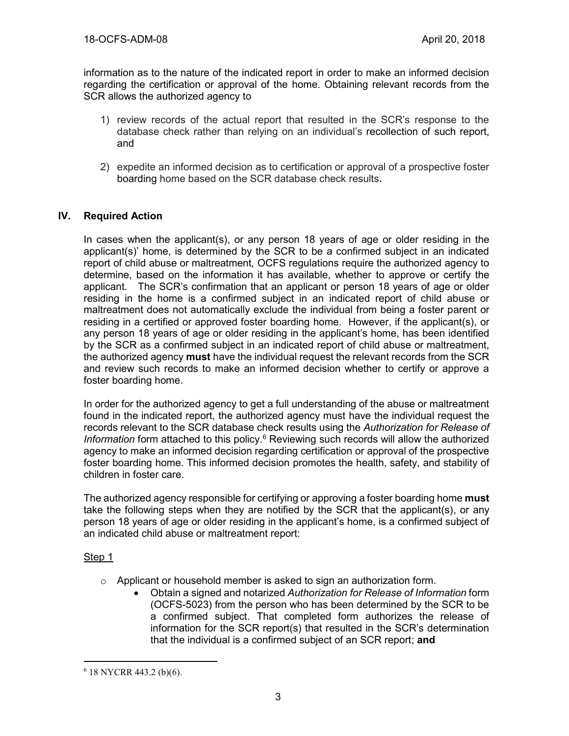information as to the nature of the indicated report in order to make an informed decision regarding the certification or approval of the home. Obtaining relevant records from the SCR allows the authorized agency to

- 1) review records of the actual report that resulted in the SCR's response to the database check rather than relying on an individual's recollection of such report, and
- 2) expedite an informed decision as to certification or approval of a prospective foster boarding home based on the SCR database check results**.**

# **IV. Required Action**

In cases when the applicant(s), or any person 18 years of age or older residing in the applicant(s)' home, is determined by the SCR to be a confirmed subject in an indicated report of child abuse or maltreatment, OCFS regulations require the authorized agency to determine, based on the information it has available, whether to approve or certify the applicant. The SCR's confirmation that an applicant or person 18 years of age or older residing in the home is a confirmed subject in an indicated report of child abuse or maltreatment does not automatically exclude the individual from being a foster parent or residing in a certified or approved foster boarding home. However, if the applicant(s), or any person 18 years of age or older residing in the applicant's home, has been identified by the SCR as a confirmed subject in an indicated report of child abuse or maltreatment, the authorized agency **must** have the individual request the relevant records from the SCR and review such records to make an informed decision whether to certify or approve a foster boarding home.

In order for the authorized agency to get a full understanding of the abuse or maltreatment found in the indicated report, the authorized agency must have the individual request the records relevant to the SCR database check results using the *Authorization for Release of*  Information form attached to this policy.<sup>6</sup> Reviewing such records will allow the authorized agency to make an informed decision regarding certification or approval of the prospective foster boarding home. This informed decision promotes the health, safety, and stability of children in foster care.

The authorized agency responsible for certifying or approving a foster boarding home **must**  take the following steps when they are notified by the SCR that the applicant(s), or any person 18 years of age or older residing in the applicant's home, is a confirmed subject of an indicated child abuse or maltreatment report:

#### Step 1

- $\circ$  Applicant or household member is asked to sign an authorization form.
	- Obtain a signed and notarized *Authorization for Release of Information* form (OCFS-5023) from the person who has been determined by the SCR to be a confirmed subject. That completed form authorizes the release of information for the SCR report(s) that resulted in the SCR's determination that the individual is a confirmed subject of an SCR report; **and**

<sup>6</sup> 18 NYCRR 443.2 (b)(6).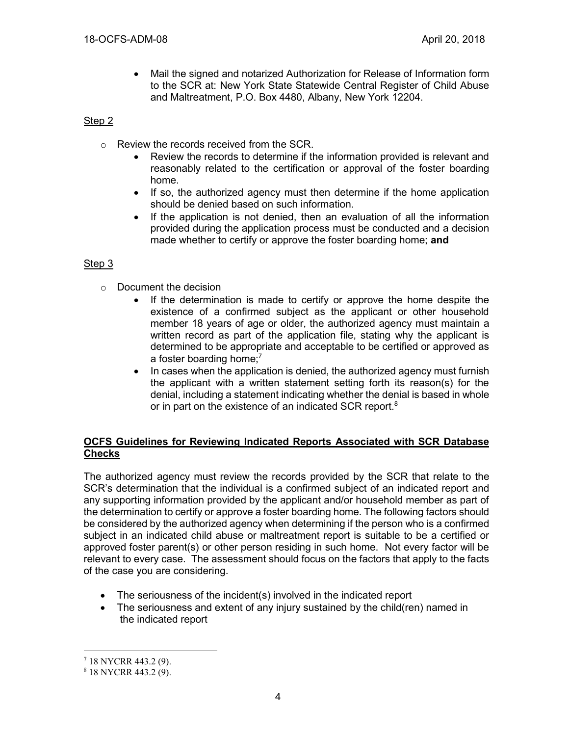• Mail the signed and notarized Authorization for Release of Information form to the SCR at: New York State Statewide Central Register of Child Abuse and Maltreatment, P.O. Box 4480, Albany, New York 12204.

## Step 2

- o Review the records received from the SCR.
	- Review the records to determine if the information provided is relevant and reasonably related to the certification or approval of the foster boarding home.
	- If so, the authorized agency must then determine if the home application should be denied based on such information.
	- If the application is not denied, then an evaluation of all the information provided during the application process must be conducted and a decision made whether to certify or approve the foster boarding home; **and**

### Step 3

- o Document the decision
	- If the determination is made to certify or approve the home despite the existence of a confirmed subject as the applicant or other household member 18 years of age or older, the authorized agency must maintain a written record as part of the application file, stating why the applicant is determined to be appropriate and acceptable to be certified or approved as a foster boarding home;<sup>7</sup>
	- In cases when the application is denied, the authorized agency must furnish the applicant with a written statement setting forth its reason(s) for the denial, including a statement indicating whether the denial is based in whole or in part on the existence of an indicated SCR report.<sup>8</sup>

#### **OCFS Guidelines for Reviewing Indicated Reports Associated with SCR Database Checks**

The authorized agency must review the records provided by the SCR that relate to the SCR's determination that the individual is a confirmed subject of an indicated report and any supporting information provided by the applicant and/or household member as part of the determination to certify or approve a foster boarding home. The following factors should be considered by the authorized agency when determining if the person who is a confirmed subject in an indicated child abuse or maltreatment report is suitable to be a certified or approved foster parent(s) or other person residing in such home. Not every factor will be relevant to every case. The assessment should focus on the factors that apply to the facts of the case you are considering.

- The seriousness of the incident(s) involved in the indicated report
- The seriousness and extent of any injury sustained by the child(ren) named in the indicated report

<sup>7</sup> 18 NYCRR 443.2 (9).

 $8$  18 NYCRR 443.2 (9).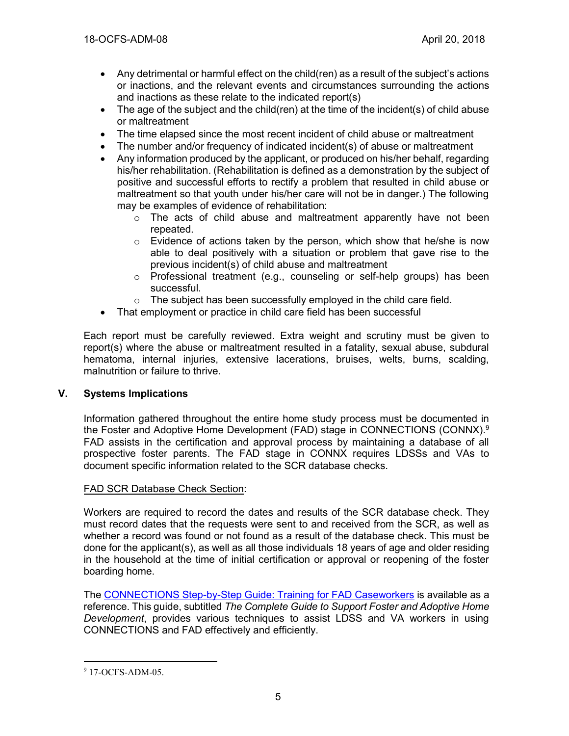- Any detrimental or harmful effect on the child(ren) as a result of the subject's actions or inactions, and the relevant events and circumstances surrounding the actions and inactions as these relate to the indicated report(s)
- The age of the subject and the child(ren) at the time of the incident(s) of child abuse or maltreatment
- The time elapsed since the most recent incident of child abuse or maltreatment
- The number and/or frequency of indicated incident(s) of abuse or maltreatment
- Any information produced by the applicant, or produced on his/her behalf, regarding his/her rehabilitation. (Rehabilitation is defined as a demonstration by the subject of positive and successful efforts to rectify a problem that resulted in child abuse or maltreatment so that youth under his/her care will not be in danger.) The following may be examples of evidence of rehabilitation:
	- $\circ$  The acts of child abuse and maltreatment apparently have not been repeated.
	- $\circ$  Evidence of actions taken by the person, which show that he/she is now able to deal positively with a situation or problem that gave rise to the previous incident(s) of child abuse and maltreatment
	- o Professional treatment (e.g., counseling or self-help groups) has been successful.
	- o The subject has been successfully employed in the child care field.
- That employment or practice in child care field has been successful

Each report must be carefully reviewed. Extra weight and scrutiny must be given to report(s) where the abuse or maltreatment resulted in a fatality, sexual abuse, subdural hematoma, internal injuries, extensive lacerations, bruises, welts, burns, scalding, malnutrition or failure to thrive.

# **V. Systems Implications**

Information gathered throughout the entire home study process must be documented in the Foster and Adoptive Home Development (FAD) stage in CONNECTIONS (CONNX).<sup>9</sup> FAD assists in the certification and approval process by maintaining a database of all prospective foster parents. The FAD stage in CONNX requires LDSSs and VAs to document specific information related to the SCR database checks.

# FAD SCR Database Check Section:

Workers are required to record the dates and results of the SCR database check. They must record dates that the requests were sent to and received from the SCR, as well as whether a record was found or not found as a result of the database check. This must be done for the applicant(s), as well as all those individuals 18 years of age and older residing in the household at the time of initial certification or approval or reopening of the foster boarding home.

The [CONNECTIONS Step-by-Step Guide: Training for FAD Caseworkers](https://ocfs.ny.gov/connect/jobaides/FAD%20Step-by-Step%20Guide%20rev%2004-12-2006.pdf) is available as a reference. This guide, subtitled *The Complete Guide to Support Foster and Adoptive Home Development*, provides various techniques to assist LDSS and VA workers in using CONNECTIONS and FAD effectively and efficiently.

<sup>9</sup> 17-OCFS-ADM-05.